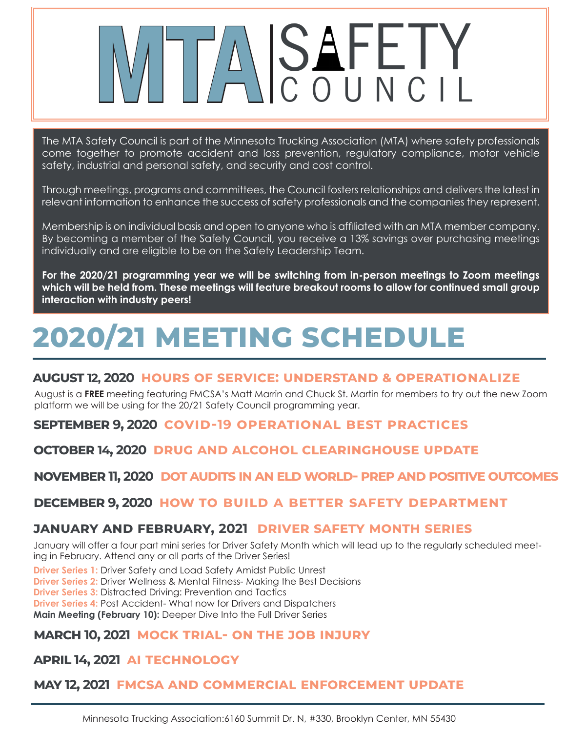# ASAFETY

The MTA Safety Council is part of the Minnesota Trucking Association (MTA) where safety professionals come together to promote accident and loss prevention, regulatory compliance, motor vehicle safety, industrial and personal safety, and security and cost control.

Through meetings, programs and committees, the Council fosters relationships and delivers the latest in relevant information to enhance the success of safety professionals and the companies they represent.

Membership is on individual basis and open to anyone who is affiliated with an MTA member company. By becoming a member of the Safety Council, you receive a 13% savings over purchasing meetings individually and are eligible to be on the Safety Leadership Team.

**For the 2020/21 programming year we will be switching from in-person meetings to Zoom meetings which will be held from. These meetings will feature breakout rooms to allow for continued small group interaction with industry peers!** 

# **2020/21 MEETING SCHEDULE**

#### **august 12, 2020 hours of service: understand & operationalize**

August is a **FREE** meeting featuring FMCSA's Matt Marrin and Chuck St. Martin for members to try out the new Zoom platform we will be using for the 20/21 Safety Council programming year.

**september 9, 2020 covid-19 operational best practices**

**october 14, 2020 drug and alcohol clearinghouse update**

**november 11, 2020 dot audits in an eld world- prep and positive outcomes**

#### **december 9, 2020 how to build a better safety department**

#### **january and february, 2021 driver safety month series**

January will offer a four part mini series for Driver Safety Month which will lead up to the regularly scheduled meeting in February. Attend any or all parts of the Driver Series!

**Driver Series 1:** Driver Safety and Load Safety Amidst Public Unrest

**Driver Series 2:** Driver Wellness & Mental Fitness- Making the Best Decisions

**Driver Series 3:** Distracted Driving: Prevention and Tactics

**Driver Series 4:** Post Accident- What now for Drivers and Dispatchers

**Main Meeting (February 10):** Deeper Dive Into the Full Driver Series

#### **march 10, 2021 mock trial- on the job injury**

**april 14, 2021 ai technology**

#### **may 12, 2021 fmcsa and commercial enforcement update**

Minnesota Trucking Association:6160 Summit Dr. N, #330, Brooklyn Center, MN 55430